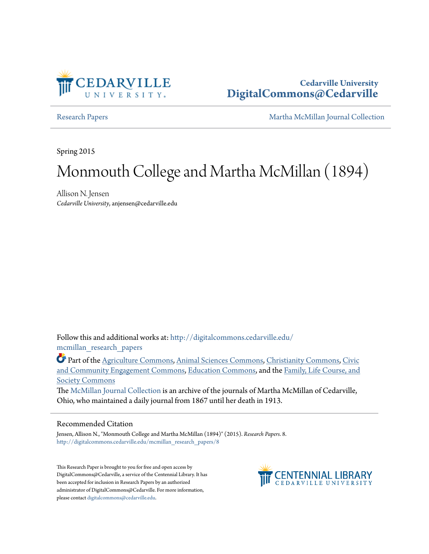

## **Cedarville University [DigitalCommons@Cedarville](http://digitalcommons.cedarville.edu?utm_source=digitalcommons.cedarville.edu%2Fmcmillan_research_papers%2F8&utm_medium=PDF&utm_campaign=PDFCoverPages)**

[Research Papers](http://digitalcommons.cedarville.edu/mcmillan_research_papers?utm_source=digitalcommons.cedarville.edu%2Fmcmillan_research_papers%2F8&utm_medium=PDF&utm_campaign=PDFCoverPages) [Martha McMillan Journal Collection](http://digitalcommons.cedarville.edu/mcmillan_journal_collection?utm_source=digitalcommons.cedarville.edu%2Fmcmillan_research_papers%2F8&utm_medium=PDF&utm_campaign=PDFCoverPages)

Spring 2015

# Monmouth College and Martha McMillan (1894)

Allison N. Jensen *Cedarville University*, anjensen@cedarville.edu

Follow this and additional works at: [http://digitalcommons.cedarville.edu/](http://digitalcommons.cedarville.edu/mcmillan_research_papers?utm_source=digitalcommons.cedarville.edu%2Fmcmillan_research_papers%2F8&utm_medium=PDF&utm_campaign=PDFCoverPages) [mcmillan\\_research\\_papers](http://digitalcommons.cedarville.edu/mcmillan_research_papers?utm_source=digitalcommons.cedarville.edu%2Fmcmillan_research_papers%2F8&utm_medium=PDF&utm_campaign=PDFCoverPages)

Part of the [Agriculture Commons](http://network.bepress.com/hgg/discipline/1076?utm_source=digitalcommons.cedarville.edu%2Fmcmillan_research_papers%2F8&utm_medium=PDF&utm_campaign=PDFCoverPages), [Animal Sciences Commons,](http://network.bepress.com/hgg/discipline/76?utm_source=digitalcommons.cedarville.edu%2Fmcmillan_research_papers%2F8&utm_medium=PDF&utm_campaign=PDFCoverPages) [Christianity Commons](http://network.bepress.com/hgg/discipline/1181?utm_source=digitalcommons.cedarville.edu%2Fmcmillan_research_papers%2F8&utm_medium=PDF&utm_campaign=PDFCoverPages), [Civic](http://network.bepress.com/hgg/discipline/1028?utm_source=digitalcommons.cedarville.edu%2Fmcmillan_research_papers%2F8&utm_medium=PDF&utm_campaign=PDFCoverPages) [and Community Engagement Commons,](http://network.bepress.com/hgg/discipline/1028?utm_source=digitalcommons.cedarville.edu%2Fmcmillan_research_papers%2F8&utm_medium=PDF&utm_campaign=PDFCoverPages) [Education Commons,](http://network.bepress.com/hgg/discipline/784?utm_source=digitalcommons.cedarville.edu%2Fmcmillan_research_papers%2F8&utm_medium=PDF&utm_campaign=PDFCoverPages) and the [Family, Life Course, and](http://network.bepress.com/hgg/discipline/419?utm_source=digitalcommons.cedarville.edu%2Fmcmillan_research_papers%2F8&utm_medium=PDF&utm_campaign=PDFCoverPages) [Society Commons](http://network.bepress.com/hgg/discipline/419?utm_source=digitalcommons.cedarville.edu%2Fmcmillan_research_papers%2F8&utm_medium=PDF&utm_campaign=PDFCoverPages)

The [McMillan Journal Collection](http://digitalcommons.cedarville.edu/mcmillan_journal_collection/) is an archive of the journals of Martha McMillan of Cedarville, Ohio, who maintained a daily journal from 1867 until her death in 1913.

#### Recommended Citation

Jensen, Allison N., "Monmouth College and Martha McMillan (1894)" (2015). *Research Papers*. 8. [http://digitalcommons.cedarville.edu/mcmillan\\_research\\_papers/8](http://digitalcommons.cedarville.edu/mcmillan_research_papers/8?utm_source=digitalcommons.cedarville.edu%2Fmcmillan_research_papers%2F8&utm_medium=PDF&utm_campaign=PDFCoverPages)

This Research Paper is brought to you for free and open access by DigitalCommons@Cedarville, a service of the Centennial Library. It has been accepted for inclusion in Research Papers by an authorized administrator of DigitalCommons@Cedarville. For more information, please contact [digitalcommons@cedarville.edu.](mailto:digitalcommons@cedarville.edu)

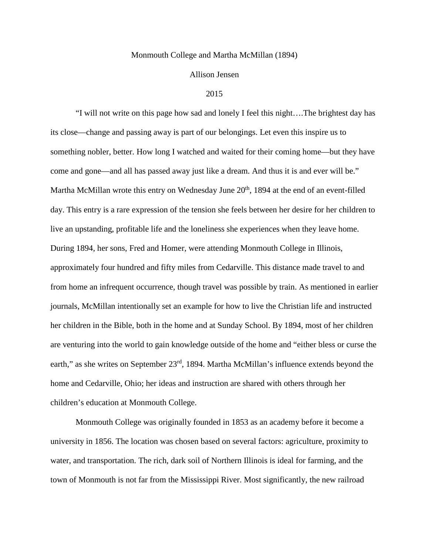#### Monmouth College and Martha McMillan (1894)

#### Allison Jensen

#### 2015

"I will not write on this page how sad and lonely I feel this night….The brightest day has its close—change and passing away is part of our belongings. Let even this inspire us to something nobler, better. How long I watched and waited for their coming home—but they have come and gone—and all has passed away just like a dream. And thus it is and ever will be." Martha McMillan wrote this entry on Wednesday June 20<sup>th</sup>, 1894 at the end of an event-filled day. This entry is a rare expression of the tension she feels between her desire for her children to live an upstanding, profitable life and the loneliness she experiences when they leave home. During 1894, her sons, Fred and Homer, were attending Monmouth College in Illinois, approximately four hundred and fifty miles from Cedarville. This distance made travel to and from home an infrequent occurrence, though travel was possible by train. As mentioned in earlier journals, McMillan intentionally set an example for how to live the Christian life and instructed her children in the Bible, both in the home and at Sunday School. By 1894, most of her children are venturing into the world to gain knowledge outside of the home and "either bless or curse the earth," as she writes on September 23<sup>rd</sup>, 1894. Martha McMillan's influence extends beyond the home and Cedarville, Ohio; her ideas and instruction are shared with others through her children's education at Monmouth College.

Monmouth College was originally founded in 1853 as an academy before it become a university in 1856. The location was chosen based on several factors: agriculture, proximity to water, and transportation. The rich, dark soil of Northern Illinois is ideal for farming, and the town of Monmouth is not far from the Mississippi River. Most significantly, the new railroad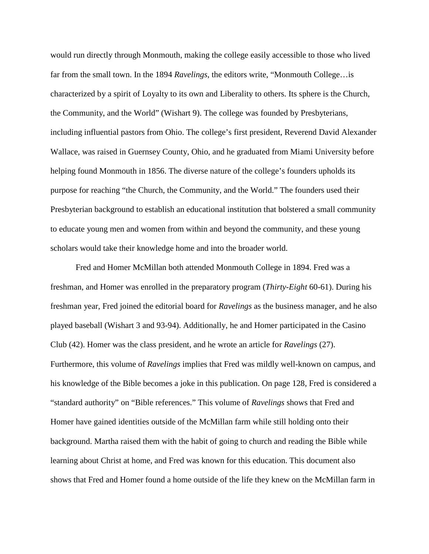would run directly through Monmouth, making the college easily accessible to those who lived far from the small town. In the 1894 *Ravelings*, the editors write, "Monmouth College…is characterized by a spirit of Loyalty to its own and Liberality to others. Its sphere is the Church, the Community, and the World" (Wishart 9). The college was founded by Presbyterians, including influential pastors from Ohio. The college's first president, Reverend David Alexander Wallace, was raised in Guernsey County, Ohio, and he graduated from Miami University before helping found Monmouth in 1856. The diverse nature of the college's founders upholds its purpose for reaching "the Church, the Community, and the World." The founders used their Presbyterian background to establish an educational institution that bolstered a small community to educate young men and women from within and beyond the community, and these young scholars would take their knowledge home and into the broader world.

Fred and Homer McMillan both attended Monmouth College in 1894. Fred was a freshman, and Homer was enrolled in the preparatory program (*Thirty-Eight* 60-61). During his freshman year, Fred joined the editorial board for *Ravelings* as the business manager, and he also played baseball (Wishart 3 and 93-94). Additionally, he and Homer participated in the Casino Club (42). Homer was the class president, and he wrote an article for *Ravelings* (27). Furthermore, this volume of *Ravelings* implies that Fred was mildly well-known on campus, and his knowledge of the Bible becomes a joke in this publication. On page 128, Fred is considered a "standard authority" on "Bible references." This volume of *Ravelings* shows that Fred and Homer have gained identities outside of the McMillan farm while still holding onto their background. Martha raised them with the habit of going to church and reading the Bible while learning about Christ at home, and Fred was known for this education. This document also shows that Fred and Homer found a home outside of the life they knew on the McMillan farm in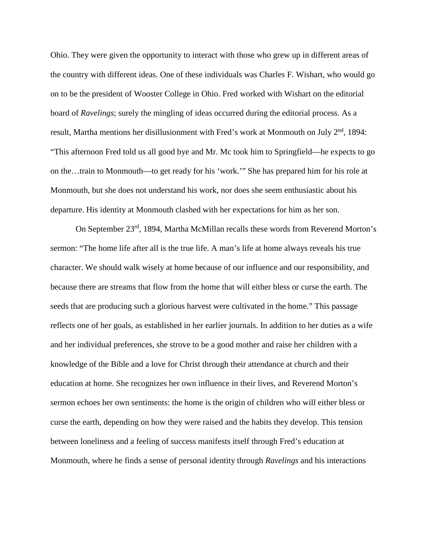Ohio. They were given the opportunity to interact with those who grew up in different areas of the country with different ideas. One of these individuals was Charles F. Wishart, who would go on to be the president of Wooster College in Ohio. Fred worked with Wishart on the editorial board of *Ravelings*; surely the mingling of ideas occurred during the editorial process. As a result, Martha mentions her disillusionment with Fred's work at Monmouth on July  $2<sup>nd</sup>$ , 1894: "This afternoon Fred told us all good bye and Mr. Mc took him to Springfield—he expects to go on the…train to Monmouth—to get ready for his 'work.'" She has prepared him for his role at Monmouth, but she does not understand his work, nor does she seem enthusiastic about his departure. His identity at Monmouth clashed with her expectations for him as her son.

On September 23rd, 1894, Martha McMillan recalls these words from Reverend Morton's sermon: "The home life after all is the true life. A man's life at home always reveals his true character. We should walk wisely at home because of our influence and our responsibility, and because there are streams that flow from the home that will either bless or curse the earth. The seeds that are producing such a glorious harvest were cultivated in the home." This passage reflects one of her goals, as established in her earlier journals. In addition to her duties as a wife and her individual preferences, she strove to be a good mother and raise her children with a knowledge of the Bible and a love for Christ through their attendance at church and their education at home. She recognizes her own influence in their lives, and Reverend Morton's sermon echoes her own sentiments: the home is the origin of children who will either bless or curse the earth, depending on how they were raised and the habits they develop. This tension between loneliness and a feeling of success manifests itself through Fred's education at Monmouth, where he finds a sense of personal identity through *Ravelings* and his interactions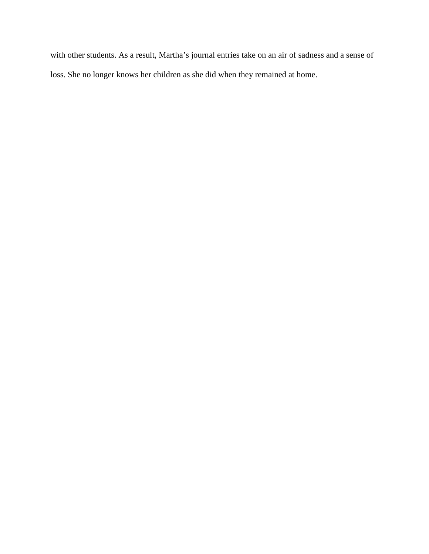with other students. As a result, Martha's journal entries take on an air of sadness and a sense of loss. She no longer knows her children as she did when they remained at home.